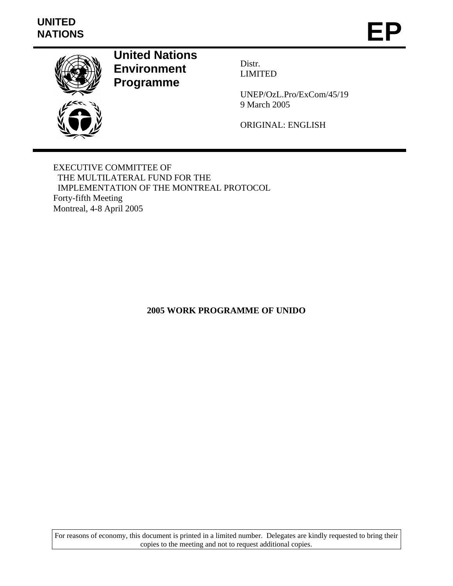# **UNITED**  UNITED<br>NATIONS **EP**



**United Nations Environment Programme** 

Distr. LIMITED

UNEP/OzL.Pro/ExCom/45/19 9 March 2005

ORIGINAL: ENGLISH

EXECUTIVE COMMITTEE OF THE MULTILATERAL FUND FOR THE IMPLEMENTATION OF THE MONTREAL PROTOCOL Forty-fifth Meeting Montreal, 4-8 April 2005

**2005 WORK PROGRAMME OF UNIDO** 

For reasons of economy, this document is printed in a limited number. Delegates are kindly requested to bring their copies to the meeting and not to request additional copies.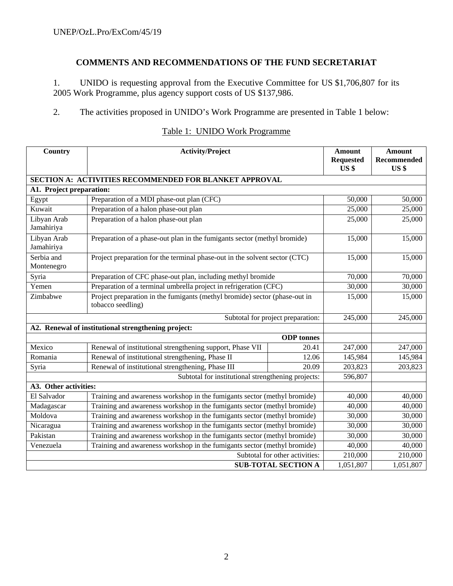# **COMMENTS AND RECOMMENDATIONS OF THE FUND SECRETARIAT**

1. UNIDO is requesting approval from the Executive Committee for US \$1,706,807 for its 2005 Work Programme, plus agency support costs of US \$137,986.

2. The activities proposed in UNIDO's Work Programme are presented in Table 1 below:

| Country                                                                                         | <b>Activity/Project</b>                                                                                  |                                   | <b>Amount</b><br><b>Requested</b> | <b>Amount</b><br>Recommended |  |  |  |
|-------------------------------------------------------------------------------------------------|----------------------------------------------------------------------------------------------------------|-----------------------------------|-----------------------------------|------------------------------|--|--|--|
|                                                                                                 |                                                                                                          |                                   | US <sub>3</sub>                   | US \$                        |  |  |  |
| SECTION A: ACTIVITIES RECOMMENDED FOR BLANKET APPROVAL                                          |                                                                                                          |                                   |                                   |                              |  |  |  |
| A1. Project preparation:                                                                        |                                                                                                          |                                   |                                   |                              |  |  |  |
| Egypt                                                                                           | Preparation of a MDI phase-out plan (CFC)                                                                |                                   | 50,000                            | 50,000                       |  |  |  |
| Kuwait                                                                                          | Preparation of a halon phase-out plan                                                                    |                                   | 25,000                            | 25,000                       |  |  |  |
| Libyan Arab<br>Jamahiriya                                                                       | Preparation of a halon phase-out plan                                                                    |                                   | 25,000                            | 25,000                       |  |  |  |
| Libyan Arab<br>Jamahiriya                                                                       | Preparation of a phase-out plan in the fumigants sector (methyl bromide)                                 |                                   | 15,000                            | 15,000                       |  |  |  |
| Serbia and<br>Montenegro                                                                        | Project preparation for the terminal phase-out in the solvent sector (CTC)                               |                                   | 15,000                            | 15,000                       |  |  |  |
| Syria                                                                                           | Preparation of CFC phase-out plan, including methyl bromide                                              |                                   | 70,000                            | 70,000                       |  |  |  |
| Yemen                                                                                           | Preparation of a terminal umbrella project in refrigeration (CFC)                                        |                                   | 30,000                            | 30,000                       |  |  |  |
| Zimbabwe                                                                                        | Project preparation in the fumigants (methyl bromide) sector (phase-out in<br>tobacco seedling)          |                                   | 15,000                            | 15,000                       |  |  |  |
|                                                                                                 |                                                                                                          | Subtotal for project preparation: | 245,000                           | 245,000                      |  |  |  |
|                                                                                                 | A2. Renewal of institutional strengthening project:                                                      |                                   |                                   |                              |  |  |  |
|                                                                                                 |                                                                                                          | <b>ODP</b> tonnes                 |                                   |                              |  |  |  |
| Mexico                                                                                          | Renewal of institutional strengthening support, Phase VII                                                | 20.41                             | 247,000                           | 247,000                      |  |  |  |
| Romania                                                                                         | Renewal of institutional strengthening, Phase II                                                         | 12.06                             | 145,984                           | 145,984                      |  |  |  |
| Syria                                                                                           | Renewal of institutional strengthening, Phase III                                                        | 20.09                             | 203,823                           | 203,823                      |  |  |  |
|                                                                                                 | Subtotal for institutional strengthening projects:                                                       |                                   | 596,807                           |                              |  |  |  |
| A3. Other activities:                                                                           |                                                                                                          |                                   |                                   |                              |  |  |  |
| El Salvador                                                                                     | Training and awareness workshop in the fumigants sector (methyl bromide)                                 |                                   | 40,000                            | 40,000                       |  |  |  |
| Madagascar                                                                                      | Training and awareness workshop in the fumigants sector (methyl bromide)<br>40,000<br>40,000             |                                   |                                   |                              |  |  |  |
| Moldova                                                                                         | Training and awareness workshop in the fumigants sector (methyl bromide)<br>30,000<br>30,000             |                                   |                                   |                              |  |  |  |
| Nicaragua                                                                                       | Training and awareness workshop in the fumigants sector (methyl bromide)<br>30,000<br>30,000             |                                   |                                   |                              |  |  |  |
|                                                                                                 | Training and awareness workshop in the fumigants sector (methyl bromide)<br>Pakistan<br>30,000<br>30,000 |                                   |                                   |                              |  |  |  |
| Training and awareness workshop in the fumigants sector (methyl bromide)<br>Venezuela<br>40,000 |                                                                                                          |                                   |                                   |                              |  |  |  |
|                                                                                                 | Subtotal for other activities:                                                                           | 210,000                           | 210,000                           |                              |  |  |  |
|                                                                                                 | <b>SUB-TOTAL SECTION A</b>                                                                               | 1,051,807                         | 1,051,807                         |                              |  |  |  |

# Table 1: UNIDO Work Programme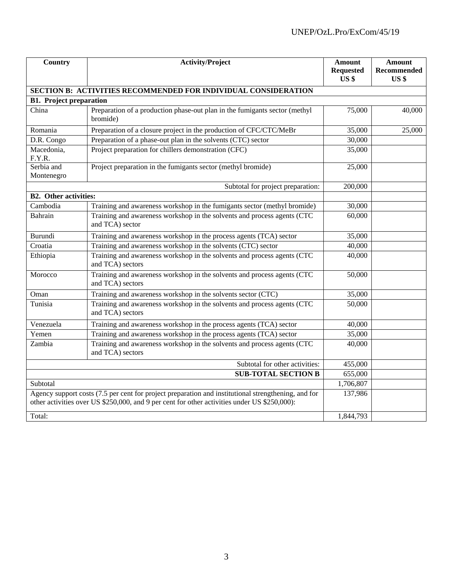| Country                                                                                                                                                                                                        | <b>Activity/Project</b>                                                                     | Amount<br><b>Requested</b><br>US <sub>3</sub> | Amount<br>Recommended<br>US <sub>s</sub> |  |  |  |  |  |  |
|----------------------------------------------------------------------------------------------------------------------------------------------------------------------------------------------------------------|---------------------------------------------------------------------------------------------|-----------------------------------------------|------------------------------------------|--|--|--|--|--|--|
| <b>SECTION B: ACTIVITIES RECOMMENDED FOR INDIVIDUAL CONSIDERATION</b>                                                                                                                                          |                                                                                             |                                               |                                          |  |  |  |  |  |  |
| <b>B1.</b> Project preparation                                                                                                                                                                                 |                                                                                             |                                               |                                          |  |  |  |  |  |  |
| China                                                                                                                                                                                                          | Preparation of a production phase-out plan in the fumigants sector (methyl<br>bromide)      | 75,000                                        | 40,000                                   |  |  |  |  |  |  |
| Romania                                                                                                                                                                                                        | Preparation of a closure project in the production of CFC/CTC/MeBr                          | 35,000                                        | 25,000                                   |  |  |  |  |  |  |
| D.R. Congo                                                                                                                                                                                                     | Preparation of a phase-out plan in the solvents (CTC) sector                                | 30,000                                        |                                          |  |  |  |  |  |  |
| Macedonia,<br>F.Y.R.                                                                                                                                                                                           | Project preparation for chillers demonstration (CFC)                                        | 35,000                                        |                                          |  |  |  |  |  |  |
| Serbia and<br>Montenegro                                                                                                                                                                                       | Project preparation in the fumigants sector (methyl bromide)                                | 25,000                                        |                                          |  |  |  |  |  |  |
|                                                                                                                                                                                                                | Subtotal for project preparation:                                                           | 200,000                                       |                                          |  |  |  |  |  |  |
| <b>B2.</b> Other activities:                                                                                                                                                                                   |                                                                                             |                                               |                                          |  |  |  |  |  |  |
| Cambodia                                                                                                                                                                                                       | Training and awareness workshop in the fumigants sector (methyl bromide)                    | 30,000                                        |                                          |  |  |  |  |  |  |
| Bahrain                                                                                                                                                                                                        | Training and awareness workshop in the solvents and process agents (CTC<br>and TCA) sector  | 60,000                                        |                                          |  |  |  |  |  |  |
| Burundi                                                                                                                                                                                                        | Training and awareness workshop in the process agents (TCA) sector                          | 35,000                                        |                                          |  |  |  |  |  |  |
| Croatia                                                                                                                                                                                                        | Training and awareness workshop in the solvents (CTC) sector                                | 40,000                                        |                                          |  |  |  |  |  |  |
| Ethiopia                                                                                                                                                                                                       | Training and awareness workshop in the solvents and process agents (CTC<br>and TCA) sectors | 40,000                                        |                                          |  |  |  |  |  |  |
| Morocco                                                                                                                                                                                                        | Training and awareness workshop in the solvents and process agents (CTC<br>and TCA) sectors | 50,000                                        |                                          |  |  |  |  |  |  |
| Oman                                                                                                                                                                                                           | Training and awareness workshop in the solvents sector (CTC)                                | 35,000                                        |                                          |  |  |  |  |  |  |
| Tunisia                                                                                                                                                                                                        | Training and awareness workshop in the solvents and process agents (CTC<br>and TCA) sectors | 50,000                                        |                                          |  |  |  |  |  |  |
| Venezuela                                                                                                                                                                                                      | Training and awareness workshop in the process agents (TCA) sector                          | 40,000                                        |                                          |  |  |  |  |  |  |
| Yemen                                                                                                                                                                                                          | Training and awareness workshop in the process agents (TCA) sector                          | 35,000                                        |                                          |  |  |  |  |  |  |
| Zambia                                                                                                                                                                                                         | Training and awareness workshop in the solvents and process agents (CTC<br>and TCA) sectors | 40,000                                        |                                          |  |  |  |  |  |  |
|                                                                                                                                                                                                                | Subtotal for other activities:                                                              | 455,000                                       |                                          |  |  |  |  |  |  |
|                                                                                                                                                                                                                | <b>SUB-TOTAL SECTION B</b>                                                                  | 655,000                                       |                                          |  |  |  |  |  |  |
| Subtotal                                                                                                                                                                                                       |                                                                                             | 1,706,807                                     |                                          |  |  |  |  |  |  |
| Agency support costs (7.5 per cent for project preparation and institutional strengthening, and for<br>137,986<br>other activities over US \$250,000, and 9 per cent for other activities under US \$250,000): |                                                                                             |                                               |                                          |  |  |  |  |  |  |
| Total:                                                                                                                                                                                                         |                                                                                             | 1,844,793                                     |                                          |  |  |  |  |  |  |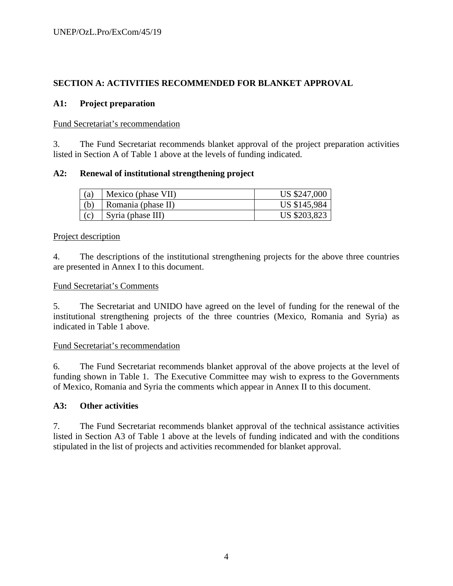# **SECTION A: ACTIVITIES RECOMMENDED FOR BLANKET APPROVAL**

## **A1: Project preparation**

#### Fund Secretariat's recommendation

3. The Fund Secretariat recommends blanket approval of the project preparation activities listed in Section A of Table 1 above at the levels of funding indicated.

## **A2: Renewal of institutional strengthening project**

| (a) | Mexico (phase VII) | US \$247,000 |
|-----|--------------------|--------------|
| (b) | Romania (phase II) | US \$145,984 |
|     | Syria (phase III)  | US \$203,823 |

#### Project description

4. The descriptions of the institutional strengthening projects for the above three countries are presented in Annex I to this document.

#### Fund Secretariat's Comments

5. The Secretariat and UNIDO have agreed on the level of funding for the renewal of the institutional strengthening projects of the three countries (Mexico, Romania and Syria) as indicated in Table 1 above.

#### Fund Secretariat's recommendation

6. The Fund Secretariat recommends blanket approval of the above projects at the level of funding shown in Table 1. The Executive Committee may wish to express to the Governments of Mexico, Romania and Syria the comments which appear in Annex II to this document.

#### **A3: Other activities**

7. The Fund Secretariat recommends blanket approval of the technical assistance activities listed in Section A3 of Table 1 above at the levels of funding indicated and with the conditions stipulated in the list of projects and activities recommended for blanket approval.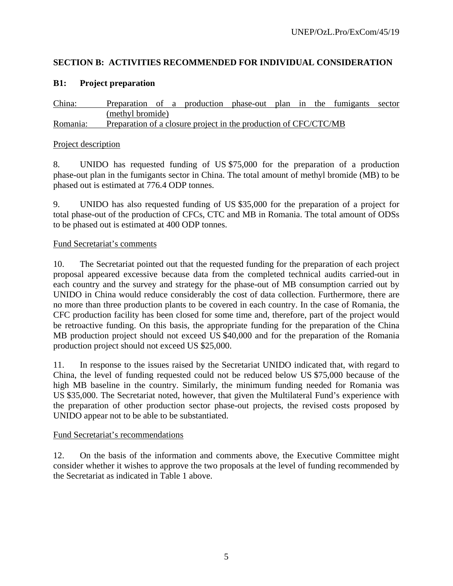# **SECTION B: ACTIVITIES RECOMMENDED FOR INDIVIDUAL CONSIDERATION**

# **B1: Project preparation**

China: Preparation of a production phase-out plan in the fumigants sector (methyl bromide) Romania: Preparation of a closure project in the production of CFC/CTC/MB

## Project description

8. UNIDO has requested funding of US \$75,000 for the preparation of a production phase-out plan in the fumigants sector in China. The total amount of methyl bromide (MB) to be phased out is estimated at 776.4 ODP tonnes.

9. UNIDO has also requested funding of US \$35,000 for the preparation of a project for total phase-out of the production of CFCs, CTC and MB in Romania. The total amount of ODSs to be phased out is estimated at 400 ODP tonnes.

## Fund Secretariat's comments

10. The Secretariat pointed out that the requested funding for the preparation of each project proposal appeared excessive because data from the completed technical audits carried-out in each country and the survey and strategy for the phase-out of MB consumption carried out by UNIDO in China would reduce considerably the cost of data collection. Furthermore, there are no more than three production plants to be covered in each country. In the case of Romania, the CFC production facility has been closed for some time and, therefore, part of the project would be retroactive funding. On this basis, the appropriate funding for the preparation of the China MB production project should not exceed US \$40,000 and for the preparation of the Romania production project should not exceed US \$25,000.

11. In response to the issues raised by the Secretariat UNIDO indicated that, with regard to China, the level of funding requested could not be reduced below US \$75,000 because of the high MB baseline in the country. Similarly, the minimum funding needed for Romania was US \$35,000. The Secretariat noted, however, that given the Multilateral Fund's experience with the preparation of other production sector phase-out projects, the revised costs proposed by UNIDO appear not to be able to be substantiated.

# Fund Secretariat's recommendations

12. On the basis of the information and comments above, the Executive Committee might consider whether it wishes to approve the two proposals at the level of funding recommended by the Secretariat as indicated in Table 1 above.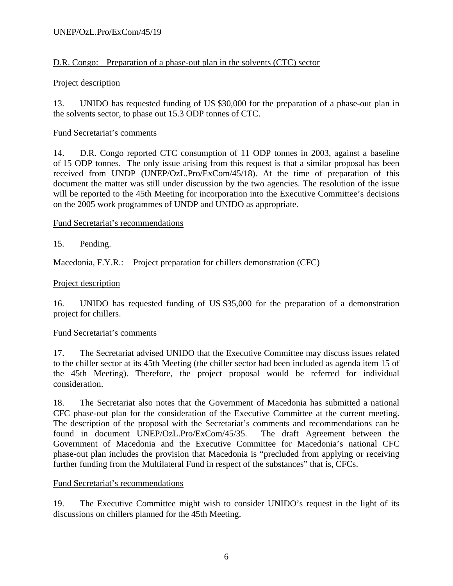# D.R. Congo: Preparation of a phase-out plan in the solvents (CTC) sector

## Project description

13. UNIDO has requested funding of US \$30,000 for the preparation of a phase-out plan in the solvents sector, to phase out 15.3 ODP tonnes of CTC.

## Fund Secretariat's comments

14. D.R. Congo reported CTC consumption of 11 ODP tonnes in 2003, against a baseline of 15 ODP tonnes. The only issue arising from this request is that a similar proposal has been received from UNDP (UNEP/OzL.Pro/ExCom/45/18). At the time of preparation of this document the matter was still under discussion by the two agencies. The resolution of the issue will be reported to the 45th Meeting for incorporation into the Executive Committee's decisions on the 2005 work programmes of UNDP and UNIDO as appropriate.

## Fund Secretariat's recommendations

# 15. Pending.

Macedonia, F.Y.R.: Project preparation for chillers demonstration (CFC)

## Project description

16. UNIDO has requested funding of US \$35,000 for the preparation of a demonstration project for chillers.

#### Fund Secretariat's comments

17. The Secretariat advised UNIDO that the Executive Committee may discuss issues related to the chiller sector at its 45th Meeting (the chiller sector had been included as agenda item 15 of the 45th Meeting). Therefore, the project proposal would be referred for individual consideration.

18. The Secretariat also notes that the Government of Macedonia has submitted a national CFC phase-out plan for the consideration of the Executive Committee at the current meeting. The description of the proposal with the Secretariat's comments and recommendations can be found in document UNEP/OzL.Pro/ExCom/45/35. The draft Agreement between the Government of Macedonia and the Executive Committee for Macedonia's national CFC phase-out plan includes the provision that Macedonia is "precluded from applying or receiving further funding from the Multilateral Fund in respect of the substances" that is, CFCs.

#### Fund Secretariat's recommendations

19. The Executive Committee might wish to consider UNIDO's request in the light of its discussions on chillers planned for the 45th Meeting.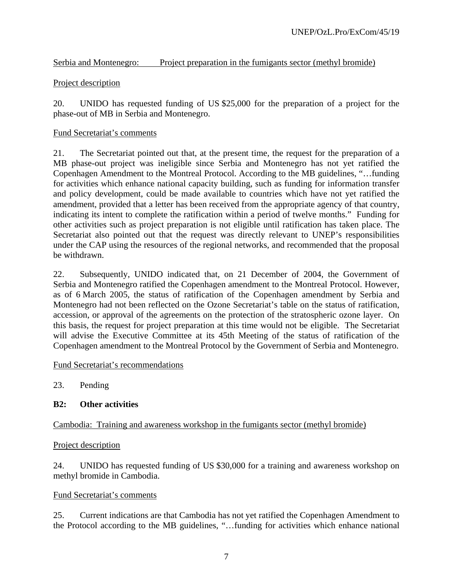# Serbia and Montenegro: Project preparation in the fumigants sector (methyl bromide)

# Project description

20. UNIDO has requested funding of US \$25,000 for the preparation of a project for the phase-out of MB in Serbia and Montenegro.

# Fund Secretariat's comments

21. The Secretariat pointed out that, at the present time, the request for the preparation of a MB phase-out project was ineligible since Serbia and Montenegro has not yet ratified the Copenhagen Amendment to the Montreal Protocol. According to the MB guidelines, "…funding for activities which enhance national capacity building, such as funding for information transfer and policy development, could be made available to countries which have not yet ratified the amendment, provided that a letter has been received from the appropriate agency of that country, indicating its intent to complete the ratification within a period of twelve months." Funding for other activities such as project preparation is not eligible until ratification has taken place. The Secretariat also pointed out that the request was directly relevant to UNEP's responsibilities under the CAP using the resources of the regional networks, and recommended that the proposal be withdrawn.

22. Subsequently, UNIDO indicated that, on 21 December of 2004, the Government of Serbia and Montenegro ratified the Copenhagen amendment to the Montreal Protocol. However, as of 6 March 2005, the status of ratification of the Copenhagen amendment by Serbia and Montenegro had not been reflected on the Ozone Secretariat's table on the status of ratification, accession, or approval of the agreements on the protection of the stratospheric ozone layer. On this basis, the request for project preparation at this time would not be eligible. The Secretariat will advise the Executive Committee at its 45th Meeting of the status of ratification of the Copenhagen amendment to the Montreal Protocol by the Government of Serbia and Montenegro.

Fund Secretariat's recommendations

23. Pending

# **B2: Other activities**

# Cambodia: Training and awareness workshop in the fumigants sector (methyl bromide)

# Project description

24. UNIDO has requested funding of US \$30,000 for a training and awareness workshop on methyl bromide in Cambodia.

# Fund Secretariat's comments

25. Current indications are that Cambodia has not yet ratified the Copenhagen Amendment to the Protocol according to the MB guidelines, "…funding for activities which enhance national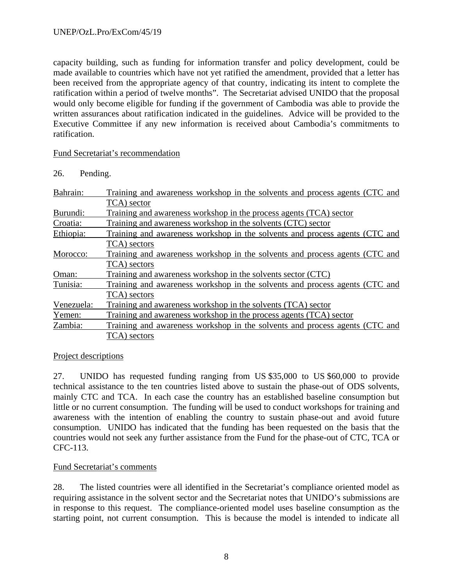capacity building, such as funding for information transfer and policy development, could be made available to countries which have not yet ratified the amendment, provided that a letter has been received from the appropriate agency of that country, indicating its intent to complete the ratification within a period of twelve months". The Secretariat advised UNIDO that the proposal would only become eligible for funding if the government of Cambodia was able to provide the written assurances about ratification indicated in the guidelines. Advice will be provided to the Executive Committee if any new information is received about Cambodia's commitments to ratification.

#### Fund Secretariat's recommendation

| Pending. |
|----------|
|          |

| Bahrain:   | Training and awareness workshop in the solvents and process agents (CTC and |
|------------|-----------------------------------------------------------------------------|
|            | TCA) sector                                                                 |
| Burundi:   | Training and awareness workshop in the process agents (TCA) sector          |
| Croatia:   | Training and awareness workshop in the solvents (CTC) sector                |
| Ethiopia:  | Training and awareness workshop in the solvents and process agents (CTC and |
|            | TCA) sectors                                                                |
| Morocco:   | Training and awareness workshop in the solvents and process agents (CTC and |
|            | TCA) sectors                                                                |
| Oman:      | Training and awareness workshop in the solvents sector (CTC)                |
| Tunisia:   | Training and awareness workshop in the solvents and process agents (CTC and |
|            | TCA) sectors                                                                |
| Venezuela: | Training and awareness workshop in the solvents (TCA) sector                |
| Yemen:     | Training and awareness workshop in the process agents (TCA) sector          |
| Zambia:    | Training and awareness workshop in the solvents and process agents (CTC and |
|            | TCA) sectors                                                                |

#### Project descriptions

27. UNIDO has requested funding ranging from US \$35,000 to US \$60,000 to provide technical assistance to the ten countries listed above to sustain the phase-out of ODS solvents, mainly CTC and TCA. In each case the country has an established baseline consumption but little or no current consumption. The funding will be used to conduct workshops for training and awareness with the intention of enabling the country to sustain phase-out and avoid future consumption. UNIDO has indicated that the funding has been requested on the basis that the countries would not seek any further assistance from the Fund for the phase-out of CTC, TCA or CFC-113.

#### Fund Secretariat's comments

28. The listed countries were all identified in the Secretariat's compliance oriented model as requiring assistance in the solvent sector and the Secretariat notes that UNIDO's submissions are in response to this request. The compliance-oriented model uses baseline consumption as the starting point, not current consumption. This is because the model is intended to indicate all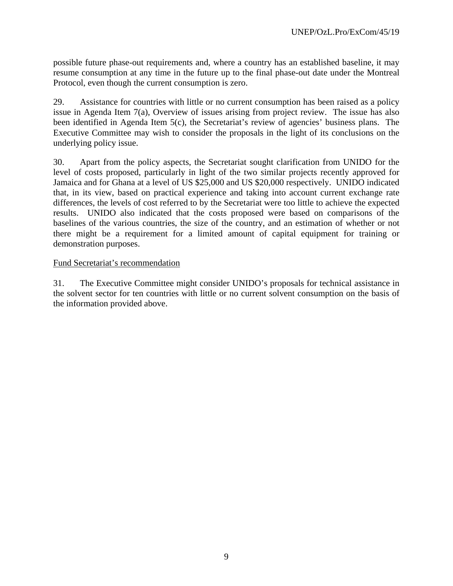possible future phase-out requirements and, where a country has an established baseline, it may resume consumption at any time in the future up to the final phase-out date under the Montreal Protocol, even though the current consumption is zero.

29. Assistance for countries with little or no current consumption has been raised as a policy issue in Agenda Item 7(a), Overview of issues arising from project review. The issue has also been identified in Agenda Item 5(c), the Secretariat's review of agencies' business plans. The Executive Committee may wish to consider the proposals in the light of its conclusions on the underlying policy issue.

30. Apart from the policy aspects, the Secretariat sought clarification from UNIDO for the level of costs proposed, particularly in light of the two similar projects recently approved for Jamaica and for Ghana at a level of US \$25,000 and US \$20,000 respectively. UNIDO indicated that, in its view, based on practical experience and taking into account current exchange rate differences, the levels of cost referred to by the Secretariat were too little to achieve the expected results. UNIDO also indicated that the costs proposed were based on comparisons of the baselines of the various countries, the size of the country, and an estimation of whether or not there might be a requirement for a limited amount of capital equipment for training or demonstration purposes.

#### Fund Secretariat's recommendation

31. The Executive Committee might consider UNIDO's proposals for technical assistance in the solvent sector for ten countries with little or no current solvent consumption on the basis of the information provided above.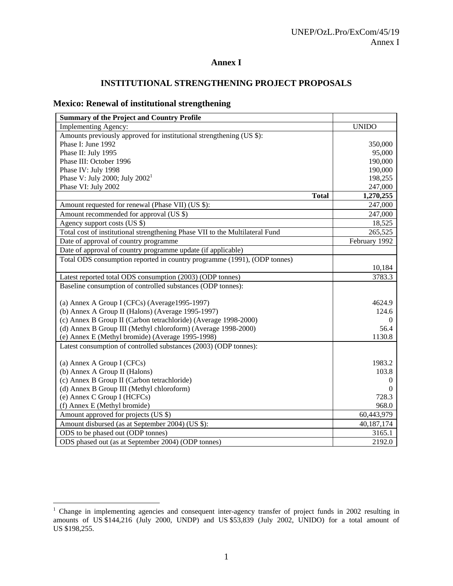# **Annex I**

# **INSTITUTIONAL STRENGTHENING PROJECT PROPOSALS**

# **Mexico: Renewal of institutional strengthening**

| <b>Summary of the Project and Country Profile</b>                            |               |
|------------------------------------------------------------------------------|---------------|
| <b>Implementing Agency:</b>                                                  | <b>UNIDO</b>  |
| Amounts previously approved for institutional strengthening (US \$):         |               |
| Phase I: June 1992                                                           | 350,000       |
| Phase II: July 1995                                                          | 95,000        |
| Phase III: October 1996                                                      | 190,000       |
| Phase IV: July 1998                                                          | 190,000       |
| Phase V: July 2000; July $2002^1$                                            | 198,255       |
| Phase VI: July 2002                                                          | 247,000       |
| <b>Total</b>                                                                 | 1,270,255     |
| Amount requested for renewal (Phase VII) (US \$):                            | 247,000       |
| Amount recommended for approval (US \$)                                      | 247,000       |
| Agency support costs (US \$)                                                 | 18,525        |
| Total cost of institutional strengthening Phase VII to the Multilateral Fund | 265,525       |
| Date of approval of country programme                                        | February 1992 |
| Date of approval of country programme update (if applicable)                 |               |
| Total ODS consumption reported in country programme (1991), (ODP tonnes)     |               |
|                                                                              | 10,184        |
| Latest reported total ODS consumption (2003) (ODP tonnes)                    | 3783.3        |
| Baseline consumption of controlled substances (ODP tonnes):                  |               |
|                                                                              |               |
| (a) Annex A Group I (CFCs) (Average 1995-1997)                               | 4624.9        |
| (b) Annex A Group II (Halons) (Average 1995-1997)                            | 124.6         |
| (c) Annex B Group II (Carbon tetrachloride) (Average 1998-2000)              | 0             |
| (d) Annex B Group III (Methyl chloroform) (Average 1998-2000)                | 56.4          |
| (e) Annex E (Methyl bromide) (Average 1995-1998)                             | 1130.8        |
| Latest consumption of controlled substances (2003) (ODP tonnes):             |               |
|                                                                              |               |
| (a) Annex A Group I (CFCs)                                                   | 1983.2        |
| (b) Annex A Group II (Halons)                                                | 103.8         |
| (c) Annex B Group II (Carbon tetrachloride)                                  | $\Omega$      |
| (d) Annex B Group III (Methyl chloroform)                                    | $\Omega$      |
| (e) Annex C Group I (HCFCs)                                                  | 728.3         |
| (f) Annex E (Methyl bromide)                                                 | 968.0         |
| Amount approved for projects (US \$)                                         | 60,443,979    |
| Amount disbursed (as at September 2004) (US \$):                             | 40,187,174    |
| ODS to be phased out (ODP tonnes)                                            | 3165.1        |
| ODS phased out (as at September 2004) (ODP tonnes)                           | 2192.0        |

<sup>&</sup>lt;sup>1</sup> Change in implementing agencies and consequent inter-agency transfer of project funds in 2002 resulting in amounts of US \$144,216 (July 2000, UNDP) and US \$53,839 (July 2002, UNIDO) for a total amount of US \$198,255.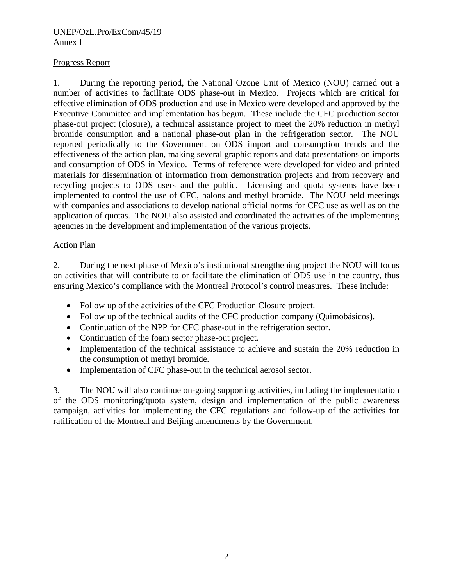#### UNEP/OzL.Pro/ExCom/45/19 Annex I

## Progress Report

1. During the reporting period, the National Ozone Unit of Mexico (NOU) carried out a number of activities to facilitate ODS phase-out in Mexico. Projects which are critical for effective elimination of ODS production and use in Mexico were developed and approved by the Executive Committee and implementation has begun. These include the CFC production sector phase-out project (closure), a technical assistance project to meet the 20% reduction in methyl bromide consumption and a national phase-out plan in the refrigeration sector. The NOU reported periodically to the Government on ODS import and consumption trends and the effectiveness of the action plan, making several graphic reports and data presentations on imports and consumption of ODS in Mexico. Terms of reference were developed for video and printed materials for dissemination of information from demonstration projects and from recovery and recycling projects to ODS users and the public. Licensing and quota systems have been implemented to control the use of CFC, halons and methyl bromide. The NOU held meetings with companies and associations to develop national official norms for CFC use as well as on the application of quotas. The NOU also assisted and coordinated the activities of the implementing agencies in the development and implementation of the various projects.

## Action Plan

2. During the next phase of Mexico's institutional strengthening project the NOU will focus on activities that will contribute to or facilitate the elimination of ODS use in the country, thus ensuring Mexico's compliance with the Montreal Protocol's control measures. These include:

- Follow up of the activities of the CFC Production Closure project.
- Follow up of the technical audits of the CFC production company (Quimobásicos).
- Continuation of the NPP for CFC phase-out in the refrigeration sector.
- Continuation of the foam sector phase-out project.
- Implementation of the technical assistance to achieve and sustain the 20% reduction in the consumption of methyl bromide.
- Implementation of CFC phase-out in the technical aerosol sector.

3. The NOU will also continue on-going supporting activities, including the implementation of the ODS monitoring/quota system, design and implementation of the public awareness campaign, activities for implementing the CFC regulations and follow-up of the activities for ratification of the Montreal and Beijing amendments by the Government.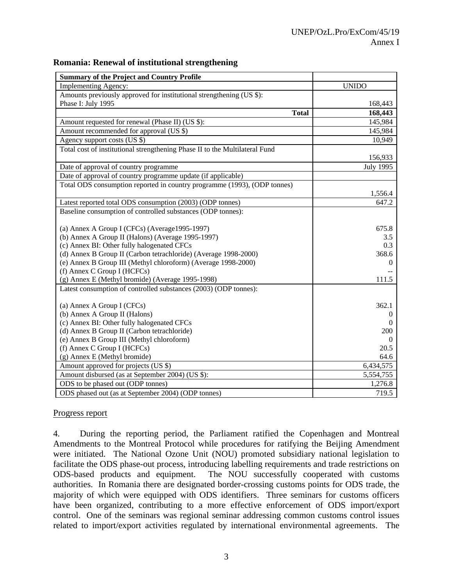| <b>Summary of the Project and Country Profile</b>                           |                |
|-----------------------------------------------------------------------------|----------------|
| <b>Implementing Agency:</b>                                                 | <b>UNIDO</b>   |
| Amounts previously approved for institutional strengthening (US \$):        |                |
| Phase I: July 1995                                                          | 168,443        |
| <b>Total</b>                                                                | 168,443        |
| Amount requested for renewal (Phase II) ( $\overline{US}$ \$):              | 145,984        |
| Amount recommended for approval (US \$)                                     | 145,984        |
| Agency support costs (US \$)                                                | 10,949         |
| Total cost of institutional strengthening Phase II to the Multilateral Fund |                |
|                                                                             | 156,933        |
| Date of approval of country programme                                       | July 1995      |
| Date of approval of country programme update (if applicable)                |                |
| Total ODS consumption reported in country programme (1993), (ODP tonnes)    |                |
|                                                                             | 1,556.4        |
| Latest reported total ODS consumption (2003) (ODP tonnes)                   | 647.2          |
| Baseline consumption of controlled substances (ODP tonnes):                 |                |
|                                                                             |                |
| (a) Annex A Group I (CFCs) (Average1995-1997)                               | 675.8          |
| (b) Annex A Group II (Halons) (Average 1995-1997)                           | 3.5            |
| (c) Annex BI: Other fully halogenated CFCs                                  | 0.3            |
| (d) Annex B Group II (Carbon tetrachloride) (Average 1998-2000)             | 368.6          |
| (e) Annex B Group III (Methyl chloroform) (Average 1998-2000)               | $\overline{0}$ |
| (f) Annex C Group I (HCFCs)                                                 |                |
| (g) Annex E (Methyl bromide) (Average 1995-1998)                            | 111.5          |
| Latest consumption of controlled substances (2003) (ODP tonnes):            |                |
| (a) Annex A Group I (CFCs)                                                  | 362.1          |
| (b) Annex A Group II (Halons)                                               | $\theta$       |
| (c) Annex BI: Other fully halogenated CFCs                                  | $\Omega$       |
| (d) Annex B Group II (Carbon tetrachloride)                                 | 200            |
| (e) Annex B Group III (Methyl chloroform)                                   | $\overline{0}$ |
| (f) Annex C Group I (HCFCs)                                                 | 20.5           |
| (g) Annex E (Methyl bromide)                                                | 64.6           |
| Amount approved for projects (US \$)                                        | 6,434,575      |
| Amount disbursed (as at September 2004) (US \$):                            | 5,554,755      |
| ODS to be phased out (ODP tonnes)                                           | 1,276.8        |
| ODS phased out (as at September 2004) (ODP tonnes)                          | 719.5          |

#### **Romania: Renewal of institutional strengthening**

#### Progress report

4. During the reporting period, the Parliament ratified the Copenhagen and Montreal Amendments to the Montreal Protocol while procedures for ratifying the Beijing Amendment were initiated. The National Ozone Unit (NOU) promoted subsidiary national legislation to facilitate the ODS phase-out process, introducing labelling requirements and trade restrictions on ODS-based products and equipment. The NOU successfully cooperated with customs authorities. In Romania there are designated border-crossing customs points for ODS trade, the majority of which were equipped with ODS identifiers. Three seminars for customs officers have been organized, contributing to a more effective enforcement of ODS import/export control. One of the seminars was regional seminar addressing common customs control issues related to import/export activities regulated by international environmental agreements. The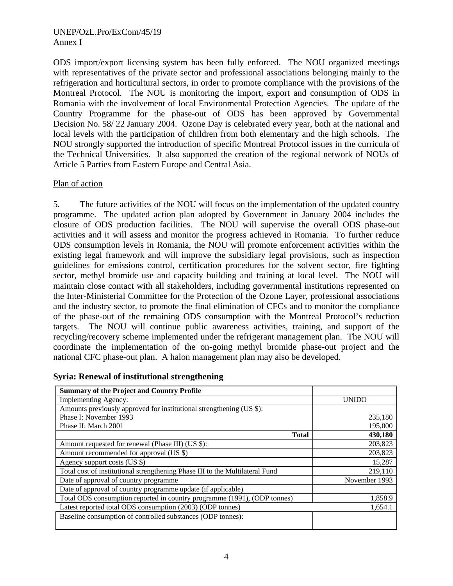ODS import/export licensing system has been fully enforced. The NOU organized meetings with representatives of the private sector and professional associations belonging mainly to the refrigeration and horticultural sectors, in order to promote compliance with the provisions of the Montreal Protocol. The NOU is monitoring the import, export and consumption of ODS in Romania with the involvement of local Environmental Protection Agencies. The update of the Country Programme for the phase-out of ODS has been approved by Governmental Decision No. 58/ 22 January 2004. Ozone Day is celebrated every year, both at the national and local levels with the participation of children from both elementary and the high schools. The NOU strongly supported the introduction of specific Montreal Protocol issues in the curricula of the Technical Universities. It also supported the creation of the regional network of NOUs of Article 5 Parties from Eastern Europe and Central Asia.

#### Plan of action

5. The future activities of the NOU will focus on the implementation of the updated country programme. The updated action plan adopted by Government in January 2004 includes the closure of ODS production facilities. The NOU will supervise the overall ODS phase-out activities and it will assess and monitor the progress achieved in Romania. To further reduce ODS consumption levels in Romania, the NOU will promote enforcement activities within the existing legal framework and will improve the subsidiary legal provisions, such as inspection guidelines for emissions control, certification procedures for the solvent sector, fire fighting sector, methyl bromide use and capacity building and training at local level. The NOU will maintain close contact with all stakeholders, including governmental institutions represented on the Inter-Ministerial Committee for the Protection of the Ozone Layer, professional associations and the industry sector, to promote the final elimination of CFCs and to monitor the compliance of the phase-out of the remaining ODS consumption with the Montreal Protocol's reduction targets. The NOU will continue public awareness activities, training, and support of the recycling/recovery scheme implemented under the refrigerant management plan. The NOU will coordinate the implementation of the on-going methyl bromide phase-out project and the national CFC phase-out plan. A halon management plan may also be developed.

| <b>Summary of the Project and Country Profile</b>                            |               |
|------------------------------------------------------------------------------|---------------|
| <b>Implementing Agency:</b>                                                  | <b>UNIDO</b>  |
| Amounts previously approved for institutional strengthening (US \$):         |               |
| Phase I: November 1993                                                       | 235,180       |
| Phase II: March 2001                                                         | 195,000       |
| <b>Total</b>                                                                 | 430,180       |
| Amount requested for renewal (Phase III) (US \$):                            | 203,823       |
| Amount recommended for approval (US \$)                                      | 203,823       |
| Agency support costs (US \$)                                                 | 15,287        |
| Total cost of institutional strengthening Phase III to the Multilateral Fund | 219,110       |
| Date of approval of country programme                                        | November 1993 |
| Date of approval of country programme update (if applicable)                 |               |
| Total ODS consumption reported in country programme (1991), (ODP tonnes)     | 1,858.9       |
| Latest reported total ODS consumption (2003) (ODP tonnes)                    | 1,654.1       |
| Baseline consumption of controlled substances (ODP tonnes):                  |               |

**Syria: Renewal of institutional strengthening**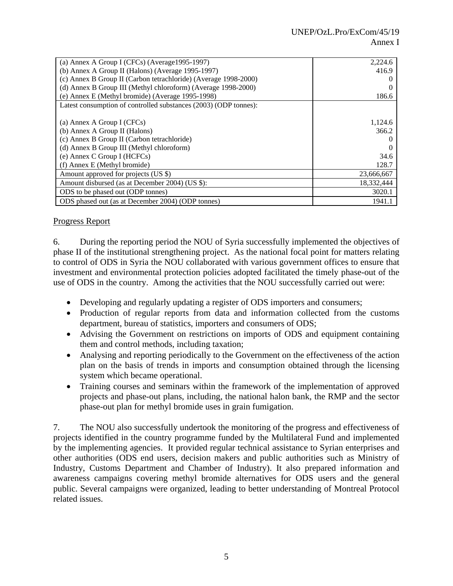| (a) Annex A Group I (CFCs) (Average1995-1997)                    | 2,224.6    |
|------------------------------------------------------------------|------------|
| (b) Annex A Group II (Halons) (Average 1995-1997)                | 416.9      |
| (c) Annex B Group II (Carbon tetrachloride) (Average 1998-2000)  |            |
| (d) Annex B Group III (Methyl chloroform) (Average 1998-2000)    |            |
| (e) Annex E (Methyl bromide) (Average 1995-1998)                 | 186.6      |
| Latest consumption of controlled substances (2003) (ODP tonnes): |            |
|                                                                  |            |
| (a) Annex A Group I (CFCs)                                       | 1,124.6    |
| (b) Annex A Group II (Halons)                                    | 366.2      |
| (c) Annex B Group II (Carbon tetrachloride)                      |            |
| (d) Annex B Group III (Methyl chloroform)                        |            |
| (e) Annex C Group I (HCFCs)                                      | 34.6       |
| (f) Annex E (Methyl bromide)                                     | 128.7      |
| Amount approved for projects (US \$)                             | 23,666,667 |
| Amount disbursed (as at December 2004) (US \$):                  | 18,332,444 |
| ODS to be phased out (ODP tonnes)                                | 3020.1     |
| ODS phased out (as at December 2004) (ODP tonnes)                | 1941.1     |

# Progress Report

6. During the reporting period the NOU of Syria successfully implemented the objectives of phase II of the institutional strengthening project. As the national focal point for matters relating to control of ODS in Syria the NOU collaborated with various government offices to ensure that investment and environmental protection policies adopted facilitated the timely phase-out of the use of ODS in the country. Among the activities that the NOU successfully carried out were:

- Developing and regularly updating a register of ODS importers and consumers;
- Production of regular reports from data and information collected from the customs department, bureau of statistics, importers and consumers of ODS;
- Advising the Government on restrictions on imports of ODS and equipment containing them and control methods, including taxation;
- Analysing and reporting periodically to the Government on the effectiveness of the action plan on the basis of trends in imports and consumption obtained through the licensing system which became operational.
- Training courses and seminars within the framework of the implementation of approved projects and phase-out plans, including, the national halon bank, the RMP and the sector phase-out plan for methyl bromide uses in grain fumigation.

7. The NOU also successfully undertook the monitoring of the progress and effectiveness of projects identified in the country programme funded by the Multilateral Fund and implemented by the implementing agencies. It provided regular technical assistance to Syrian enterprises and other authorities (ODS end users, decision makers and public authorities such as Ministry of Industry, Customs Department and Chamber of Industry). It also prepared information and awareness campaigns covering methyl bromide alternatives for ODS users and the general public. Several campaigns were organized, leading to better understanding of Montreal Protocol related issues.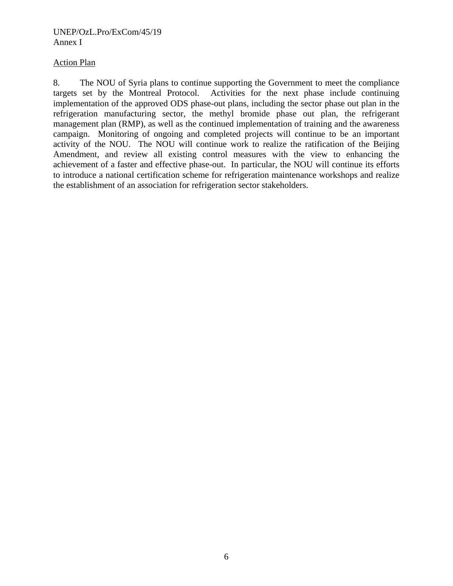#### UNEP/OzL.Pro/ExCom/45/19 Annex I

### Action Plan

8. The NOU of Syria plans to continue supporting the Government to meet the compliance targets set by the Montreal Protocol. Activities for the next phase include continuing implementation of the approved ODS phase-out plans, including the sector phase out plan in the refrigeration manufacturing sector, the methyl bromide phase out plan, the refrigerant management plan (RMP), as well as the continued implementation of training and the awareness campaign. Monitoring of ongoing and completed projects will continue to be an important activity of the NOU. The NOU will continue work to realize the ratification of the Beijing Amendment, and review all existing control measures with the view to enhancing the achievement of a faster and effective phase-out. In particular, the NOU will continue its efforts to introduce a national certification scheme for refrigeration maintenance workshops and realize the establishment of an association for refrigeration sector stakeholders.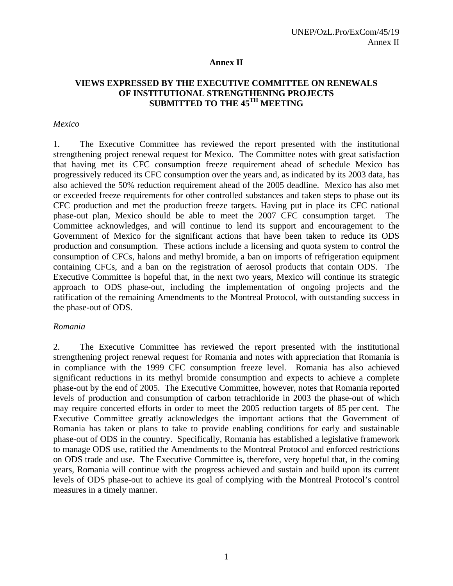#### **Annex II**

## **VIEWS EXPRESSED BY THE EXECUTIVE COMMITTEE ON RENEWALS OF INSTITUTIONAL STRENGTHENING PROJECTS SUBMITTED TO THE 45TH MEETING**

#### *Mexico*

1. The Executive Committee has reviewed the report presented with the institutional strengthening project renewal request for Mexico. The Committee notes with great satisfaction that having met its CFC consumption freeze requirement ahead of schedule Mexico has progressively reduced its CFC consumption over the years and, as indicated by its 2003 data, has also achieved the 50% reduction requirement ahead of the 2005 deadline. Mexico has also met or exceeded freeze requirements for other controlled substances and taken steps to phase out its CFC production and met the production freeze targets. Having put in place its CFC national phase-out plan, Mexico should be able to meet the 2007 CFC consumption target. The Committee acknowledges, and will continue to lend its support and encouragement to the Government of Mexico for the significant actions that have been taken to reduce its ODS production and consumption. These actions include a licensing and quota system to control the consumption of CFCs, halons and methyl bromide, a ban on imports of refrigeration equipment containing CFCs, and a ban on the registration of aerosol products that contain ODS. The Executive Committee is hopeful that, in the next two years, Mexico will continue its strategic approach to ODS phase-out, including the implementation of ongoing projects and the ratification of the remaining Amendments to the Montreal Protocol, with outstanding success in the phase-out of ODS.

#### *Romania*

2. The Executive Committee has reviewed the report presented with the institutional strengthening project renewal request for Romania and notes with appreciation that Romania is in compliance with the 1999 CFC consumption freeze level. Romania has also achieved significant reductions in its methyl bromide consumption and expects to achieve a complete phase-out by the end of 2005. The Executive Committee, however, notes that Romania reported levels of production and consumption of carbon tetrachloride in 2003 the phase-out of which may require concerted efforts in order to meet the 2005 reduction targets of 85 per cent. The Executive Committee greatly acknowledges the important actions that the Government of Romania has taken or plans to take to provide enabling conditions for early and sustainable phase-out of ODS in the country. Specifically, Romania has established a legislative framework to manage ODS use, ratified the Amendments to the Montreal Protocol and enforced restrictions on ODS trade and use. The Executive Committee is, therefore, very hopeful that, in the coming years, Romania will continue with the progress achieved and sustain and build upon its current levels of ODS phase-out to achieve its goal of complying with the Montreal Protocol's control measures in a timely manner.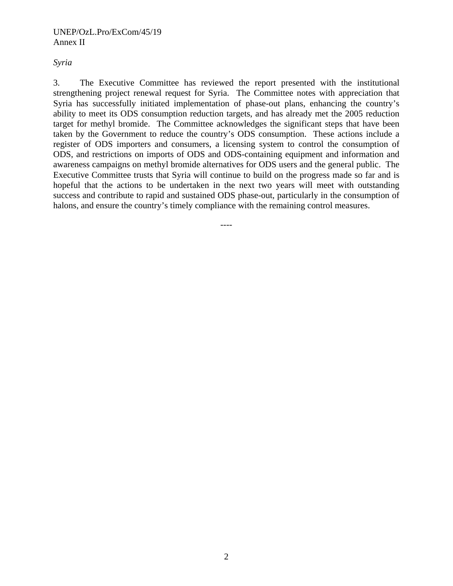#### *Syria*

3. The Executive Committee has reviewed the report presented with the institutional strengthening project renewal request for Syria. The Committee notes with appreciation that Syria has successfully initiated implementation of phase-out plans, enhancing the country's ability to meet its ODS consumption reduction targets, and has already met the 2005 reduction target for methyl bromide. The Committee acknowledges the significant steps that have been taken by the Government to reduce the country's ODS consumption. These actions include a register of ODS importers and consumers, a licensing system to control the consumption of ODS, and restrictions on imports of ODS and ODS-containing equipment and information and awareness campaigns on methyl bromide alternatives for ODS users and the general public. The Executive Committee trusts that Syria will continue to build on the progress made so far and is hopeful that the actions to be undertaken in the next two years will meet with outstanding success and contribute to rapid and sustained ODS phase-out, particularly in the consumption of halons, and ensure the country's timely compliance with the remaining control measures.

----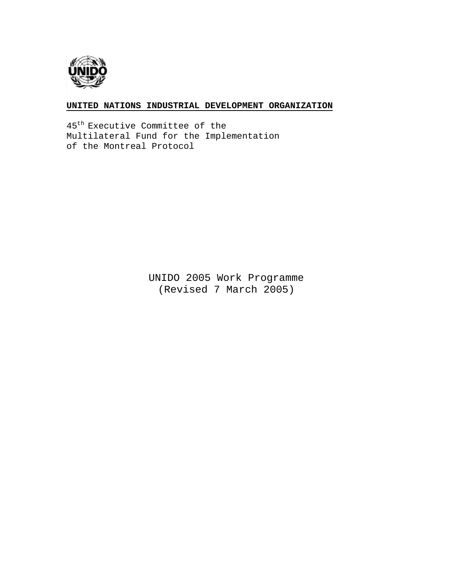

#### **UNITED NATIONS INDUSTRIAL DEVELOPMENT ORGANIZATION**

45th Executive Committee of the Multilateral Fund for the Implementation of the Montreal Protocol

> UNIDO 2005 Work Programme (Revised 7 March 2005)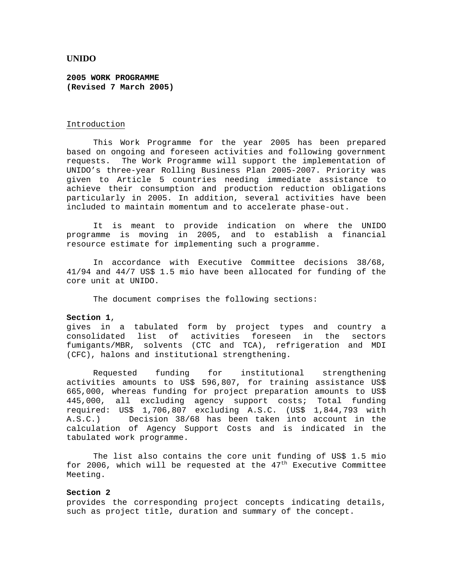#### **UNIDO**

**2005 WORK PROGRAMME (Revised 7 March 2005)**

#### Introduction

This Work Programme for the year 2005 has been prepared based on ongoing and foreseen activities and following government requests. The Work Programme will support the implementation of UNIDO's three-year Rolling Business Plan 2005-2007. Priority was given to Article 5 countries needing immediate assistance to achieve their consumption and production reduction obligations particularly in 2005. In addition, several activities have been included to maintain momentum and to accelerate phase-out.

 It is meant to provide indication on where the UNIDO programme is moving in 2005, and to establish a financial resource estimate for implementing such a programme.

In accordance with Executive Committee decisions 38/68, 41/94 and 44/7 US\$ 1.5 mio have been allocated for funding of the core unit at UNIDO.

The document comprises the following sections:

#### **Section 1**,

gives in a tabulated form by project types and country a consolidated list of activities foreseen in the sectors fumigants/MBR, solvents (CTC and TCA), refrigeration and MDI (CFC), halons and institutional strengthening.

Requested funding for institutional strengthening activities amounts to US\$ 596,807, for training assistance US\$ 665,000, whereas funding for project preparation amounts to US\$ 445,000, all excluding agency support costs; Total funding required: US\$ 1,706,807 excluding A.S.C. (US\$ 1,844,793 with A.S.C.) Decision 38/68 has been taken into account in the calculation of Agency Support Costs and is indicated in the tabulated work programme.

The list also contains the core unit funding of US\$ 1.5 mio for 2006, which will be requested at the  $47<sup>th</sup>$  Executive Committee Meeting.

#### **Section 2**

provides the corresponding project concepts indicating details, such as project title, duration and summary of the concept.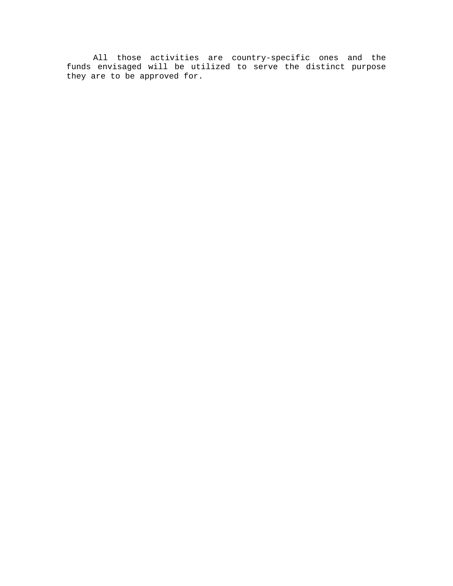All those activities are country-specific ones and the funds envisaged will be utilized to serve the distinct purpose they are to be approved for.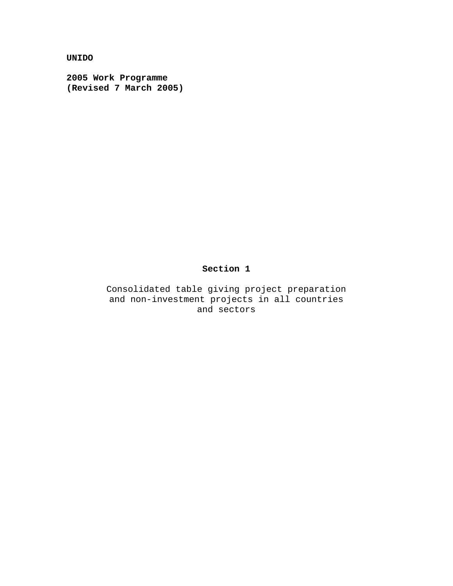**UNIDO** 

**2005 Work Programme (Revised 7 March 2005)** 

## **Section 1**

Consolidated table giving project preparation and non-investment projects in all countries and sectors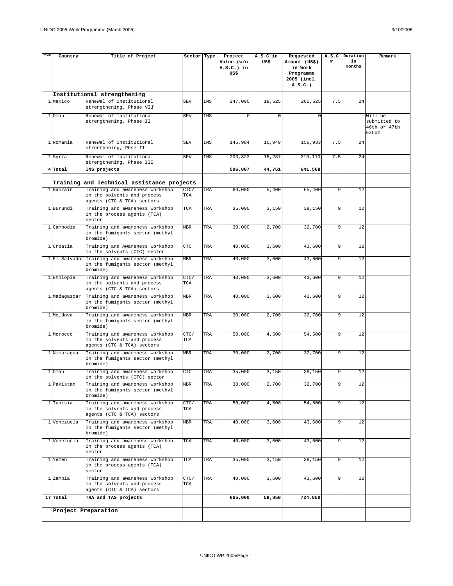| Item | Country      | Title of Project                                                                 | Sector Type |     | Project<br>Value (w/o | A.S.C in<br>US\$ | Requested<br>Amount (US\$) | ⋟   | A.S.C Duration<br>in | Remark                  |
|------|--------------|----------------------------------------------------------------------------------|-------------|-----|-----------------------|------------------|----------------------------|-----|----------------------|-------------------------|
|      |              |                                                                                  |             |     | $A.S.C.$ ) in         |                  | in Work                    |     | months               |                         |
|      |              |                                                                                  |             |     | US\$                  |                  | Programme<br>2005 (incl.   |     |                      |                         |
|      |              |                                                                                  |             |     |                       |                  | $A.S.C.$ )                 |     |                      |                         |
|      | 1 Mexico     | Institutional strengthening<br>Renewal of institutional                          | <b>SEV</b>  | INS | 247,000               | 18,525           | 265,525                    | 7.5 | 24                   |                         |
|      |              | strengthening, Phase VII                                                         |             |     |                       |                  |                            |     |                      |                         |
|      | 1 Oman       | Renewal of institutional<br>strengthening, Phase II                              | <b>SEV</b>  | INS | $\Omega$              | $\Omega$         | $\Omega$                   |     |                      | Will be<br>submitted to |
|      |              |                                                                                  |             |     |                       |                  |                            |     |                      | 46th or 47th<br>ExCom   |
|      | 1 Romania    | Renewal of institutional                                                         | <b>SEV</b>  | INS | 145,984               | 10,949           | 156,933                    | 7.5 | 24                   |                         |
|      |              | strenthening, Phse II                                                            |             |     |                       |                  |                            |     |                      |                         |
|      | 1 Syria      | Renewal of institutional<br>strengthening, Phase III                             | <b>SEV</b>  | INS | 203,823               | 15,287           | 219.110                    | 7.5 | 24                   |                         |
|      | 4 Total      | INS projects                                                                     |             |     | 596,807               | 44,761           | 641,568                    |     |                      |                         |
|      |              | Training and Technical assistance projects                                       |             |     |                       |                  |                            |     |                      |                         |
|      | 1 Bahrain    | Training and awareness workshop                                                  | CTC/        | TRA | 60,000                | 5,400            | 65,400                     | 9   | 12                   |                         |
|      |              | in the solvents and process<br>agents (CTC & TCA) sectors                        | TCA         |     |                       |                  |                            |     |                      |                         |
|      | 1 Burundi    | Training and awareness workshop                                                  | TCA         | TRA | 35,000                | 3,150            | 38,150                     | 9   | 12                   |                         |
|      |              | in the process agents (TCA)<br>sector                                            |             |     |                       |                  |                            |     |                      |                         |
|      | 1 Cambodia   | Training and awareness workshop<br>in the fumigants sector (methyl               | <b>MBR</b>  | TRA | 30,000                | 2,700            | 32,700                     | 9   | 12                   |                         |
|      |              | bromide)                                                                         |             |     |                       |                  |                            |     |                      |                         |
|      | 1 Croatia    | Training and Awareness workshop<br>in the solvents (CTC) sector                  | CTC         | TRA | 40,000                | 3,600            | 43,600                     | 9   | 12                   |                         |
|      |              | 1 El Salvador Training and awareness workshop<br>in the fumigants sector (methyl | <b>MBR</b>  | TRA | 40,000                | 3,600            | 43,600                     | 9   | 12                   |                         |
|      |              | bromide)                                                                         |             |     |                       |                  |                            |     |                      |                         |
|      | 1 Ethiopia   | Training and awareness workshop<br>in the solvents and process                   | CTC/<br>TCA | TRA | 40,000                | 3,600            | 43,600                     | 9   | 12                   |                         |
|      |              | agents (CTC & TCA) sectors                                                       |             |     |                       |                  |                            |     |                      |                         |
|      | 1 Madagascar | Training and awareness workshop<br>in the fumigants sector (methyl               | <b>MBR</b>  | TRA | 40,000                | 3,600            | 43,600                     | 9   | 12                   |                         |
|      | 1 Moldova    | bromide)<br>Training and awareness workshop                                      | <b>MBR</b>  | TRA | 30,000                | 2,700            | 32,700                     | 9   | 12                   |                         |
|      |              | in the fumigants sector (methyl<br>bromide)                                      |             |     |                       |                  |                            |     |                      |                         |
|      | 1 Morocco    | Training and awareness workshop                                                  | CTC/        | TRA | 50,000                | 4,500            | 54,500                     | 9   | 12                   |                         |
|      |              | in the solvents and process<br>agents (CTC & TCA) sectors                        | TCA         |     |                       |                  |                            |     |                      |                         |
|      | 1 Nicaragua  | Training and awareness workshop<br>in the fumigants sector (methyl               | <b>MBR</b>  | TRA | 30,000                | 2,700            | 32,700                     | 9   | 12                   |                         |
|      |              | bromide)                                                                         |             |     |                       |                  |                            |     |                      |                         |
|      | $1$ Oman     | Training and awareness workshop<br>in the solvents (CTC) sector                  | CTC         | TRA | 35,000                | 3,150            | 38,150                     | 9   | 12                   |                         |
|      | l Pakistan   | Training and awareness workshop<br>in the fumigants sector (methyl               | MBR         | TRA | 30,000                | 2,700            | 32,700                     |     | 12                   |                         |
|      |              | bromide)                                                                         |             |     |                       |                  |                            |     |                      |                         |
|      | 1 Tunisia    | Training and awareness workshop<br>in the solvents and process                   | CTC/<br>TCA | TRA | 50,000                | 4,500            | 54,500                     | 9   | $12$                 |                         |
|      |              | agents (CTC & TCA) sectors                                                       |             |     |                       |                  |                            | 9   | 12                   |                         |
|      | 1 Venezuela  | Training and awareness workshop<br>in the fumigants sector (methyl               | <b>MBR</b>  | TRA | 40,000                | 3,600            | 43,600                     |     |                      |                         |
|      | 1 Venezuela  | bromide)<br>Training and awareness workshop                                      | TCA         | TRA | 40,000                | 3,600            | 43,600                     | 9   | 12                   |                         |
|      |              | in the process agents (TCA)<br>sector                                            |             |     |                       |                  |                            |     |                      |                         |
|      | 1 Yemen      | Training and awareness workshop                                                  | TCA         | TRA | 35,000                | 3,150            | 38,150                     | 9   | 12                   |                         |
|      |              | in the process agents (TCA)<br>sector                                            |             |     |                       |                  |                            |     |                      |                         |
|      | 1 Zambia     | Training and awareness workshop                                                  | CTC/        | TRA | 40,000                | 3,600            | 43,600                     | 9   | 12                   |                         |
|      |              | in the solvents and process<br>agents (CTC & TCA) sectors                        | TCA         |     |                       |                  |                            |     |                      |                         |
|      | 17 Total     | TRA and TAS projects                                                             |             |     | 665,000               | 59,850           | 724,850                    |     |                      |                         |
|      |              | Project Preparation                                                              |             |     |                       |                  |                            |     |                      |                         |
|      |              |                                                                                  |             |     |                       |                  |                            |     |                      |                         |